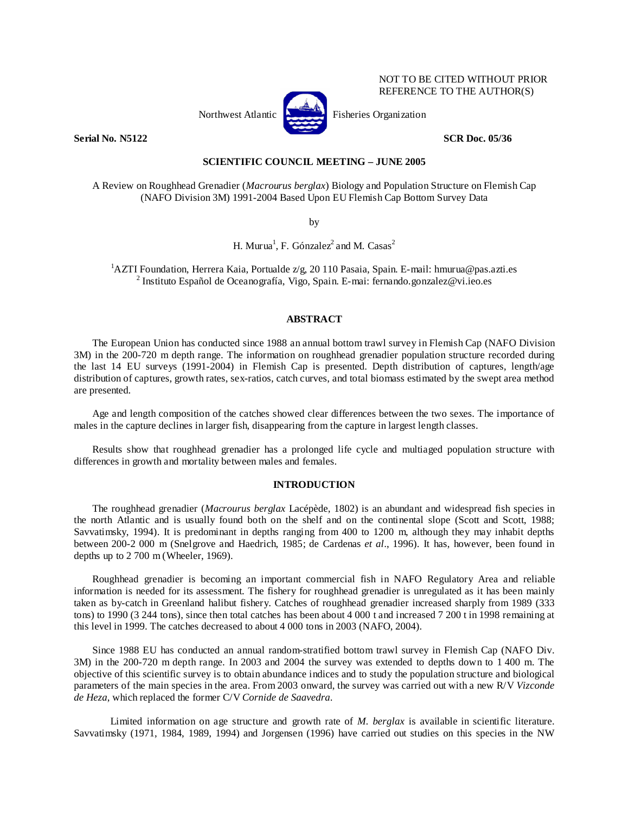

NOT TO BE CITED WITHOUT PRIOR REFERENCE TO THE AUTHOR(S)

**Serial No. N5122** SCR Doc. 05/36

## **SCIENTIFIC COUNCIL MEETING – JUNE 2005**

A Review on Roughhead Grenadier (*Macrourus berglax*) Biology and Population Structure on Flemish Cap (NAFO Division 3M) 1991-2004 Based Upon EU Flemish Cap Bottom Survey Data

by

H. Murua<sup>1</sup>, F. Gónzalez<sup>2</sup> and M. Casas<sup>2</sup>

<sup>1</sup>AZTI Foundation, Herrera Kaia, Portualde z/g, 20 110 Pasaia, Spain. E-mail: hmurua@pas.azti.es <sup>2</sup> Institute Español de Oceanografía, Visco, Spain. E-mail: formando gonzelez@ui.ieo.es <sup>2</sup> Instituto Español de Oceanografía, Vigo, Spain. E-mai: fernando.gonzalez@vi.ieo.es

#### **ABSTRACT**

The European Union has conducted since 1988 an annual bottom trawl survey in Flemish Cap (NAFO Division 3M) in the 200-720 m depth range. The information on roughhead grenadier population structure recorded during the last 14 EU surveys (1991-2004) in Flemish Cap is presented. Depth distribution of captures, length/age distribution of captures, growth rates, sex-ratios, catch curves, and total biomass estimated by the swept area method are presented.

Age and length composition of the catches showed clear differences between the two sexes. The importance of males in the capture declines in larger fish, disappearing from the capture in largest length classes.

Results show that roughhead grenadier has a prolonged life cycle and multiaged population structure with differences in growth and mortality between males and females.

#### **INTRODUCTION**

The roughhead grenadier (*Macrourus berglax* Lacépède, 1802) is an abundant and widespread fish species in the north Atlantic and is usually found both on the shelf and on the continental slope (Scott and Scott, 1988; Savvatimsky, 1994). It is predominant in depths ranging from 400 to 1200 m, although they may inhabit depths between 200-2 000 m (Snelgrove and Haedrich, 1985; de Cardenas *et al*., 1996). It has, however, been found in depths up to 2 700 m (Wheeler, 1969).

Roughhead grenadier is becoming an important commercial fish in NAFO Regulatory Area and reliable information is needed for its assessment. The fishery for roughhead grenadier is unregulated as it has been mainly taken as by-catch in Greenland halibut fishery. Catches of roughhead grenadier increased sharply from 1989 (333 tons) to 1990 (3 244 tons), since then total catches has been about 4 000 t and increased 7 200 t in 1998 remaining at this level in 1999. The catches decreased to about 4 000 tons in 2003 (NAFO, 2004).

Since 1988 EU has conducted an annual random-stratified bottom trawl survey in Flemish Cap (NAFO Div. 3M) in the 200-720 m depth range. In 2003 and 2004 the survey was extended to depths down to 1 400 m. The objective of this scientific survey is to obtain abundance indices and to study the population structure and biological parameters of the main species in the area. From 2003 onward, the survey was carried out with a new R/V *Vizconde de Heza*, which replaced the former C/V *Cornide de Saavedra*.

 Limited information on age structure and growth rate of *M. berglax* is available in scientific literature. Savvatimsky (1971, 1984, 1989, 1994) and Jorgensen (1996) have carried out studies on this species in the NW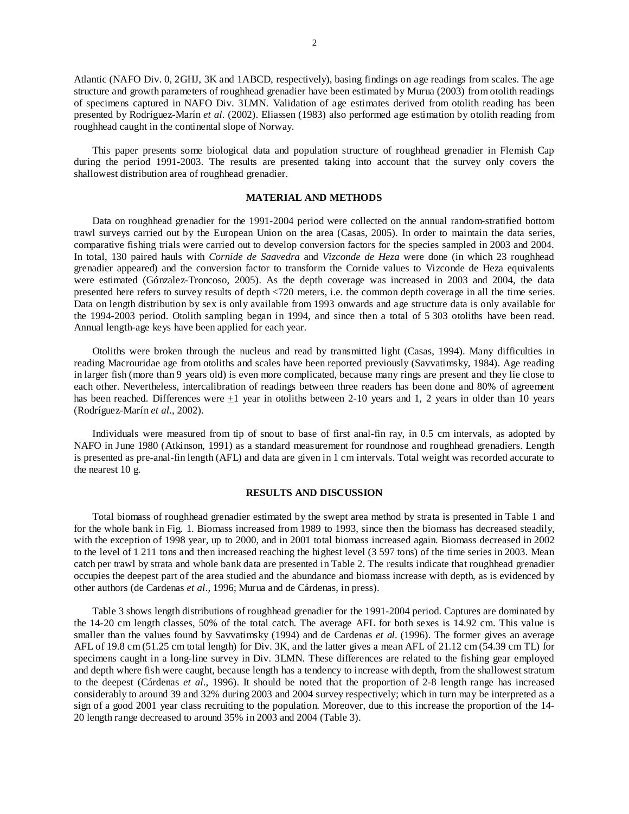Atlantic (NAFO Div. 0, 2GHJ, 3K and 1ABCD, respectively), basing findings on age readings from scales. The age structure and growth parameters of roughhead grenadier have been estimated by Murua (2003) from otolith readings of specimens captured in NAFO Div. 3LMN. Validation of age estimates derived from otolith reading has been presented by Rodríguez-Marín *et al.* (2002). Eliassen (1983) also performed age estimation by otolith reading from roughhead caught in the continental slope of Norway.

This paper presents some biological data and population structure of roughhead grenadier in Flemish Cap during the period 1991-2003. The results are presented taking into account that the survey only covers the shallowest distribution area of roughhead grenadier.

### **MATERIAL AND METHODS**

Data on roughhead grenadier for the 1991-2004 period were collected on the annual random-stratified bottom trawl surveys carried out by the European Union on the area (Casas, 2005). In order to maintain the data series, comparative fishing trials were carried out to develop conversion factors for the species sampled in 2003 and 2004. In total, 130 paired hauls with *Cornide de Saavedra* and *Vizconde de Heza* were done (in which 23 roughhead grenadier appeared) and the conversion factor to transform the Cornide values to Vizconde de Heza equivalents were estimated (Gónzalez-Troncoso, 2005). As the depth coverage was increased in 2003 and 2004, the data presented here refers to survey results of depth <720 meters, i.e. the common depth coverage in all the time series. Data on length distribution by sex is only available from 1993 onwards and age structure data is only available for the 1994-2003 period. Otolith sampling began in 1994, and since then a total of 5 303 otoliths have been read. Annual length-age keys have been applied for each year.

Otoliths were broken through the nucleus and read by transmitted light (Casas, 1994). Many difficulties in reading Macrouridae age from otoliths and scales have been reported previously (Savvatimsky, 1984). Age reading in larger fish (more than 9 years old) is even more complicated, because many rings are present and they lie close to each other. Nevertheless, intercalibration of readings between three readers has been done and 80% of agreement has been reached. Differences were +1 year in otoliths between 2-10 years and 1, 2 years in older than 10 years (Rodríguez-Marín *et al.*, 2002).

Individuals were measured from tip of snout to base of first anal-fin ray, in 0.5 cm intervals, as adopted by NAFO in June 1980 (Atkinson, 1991) as a standard measurement for roundnose and roughhead grenadiers. Length is presented as pre-anal-fin length (AFL) and data are given in 1 cm intervals. Total weight was recorded accurate to the nearest 10 g.

#### **RESULTS AND DISCUSSION**

Total biomass of roughhead grenadier estimated by the swept area method by strata is presented in Table 1 and for the whole bank in Fig. 1. Biomass increased from 1989 to 1993, since then the biomass has decreased steadily, with the exception of 1998 year, up to 2000, and in 2001 total biomass increased again. Biomass decreased in 2002 to the level of 1 211 tons and then increased reaching the highest level (3 597 tons) of the time series in 2003. Mean catch per trawl by strata and whole bank data are presented in Table 2. The results indicate that roughhead grenadier occupies the deepest part of the area studied and the abundance and biomass increase with depth, as is evidenced by other authors (de Cardenas *et al*., 1996; Murua and de Cárdenas, in press).

Table 3 shows length distributions of roughhead grenadier for the 1991-2004 period. Captures are dominated by the 14-20 cm length classes, 50% of the total catch. The average AFL for both sexes is 14.92 cm. This value is smaller than the values found by Savvatimsky (1994) and de Cardenas *et al*. (1996). The former gives an average AFL of 19.8 cm (51.25 cm total length) for Div. 3K, and the latter gives a mean AFL of 21.12 cm (54.39 cm TL) for specimens caught in a long-line survey in Div. 3LMN. These differences are related to the fishing gear employed and depth where fish were caught, because length has a tendency to increase with depth, from the shallowest stratum to the deepest (Cárdenas *et al*., 1996). It should be noted that the proportion of 2-8 length range has increased considerably to around 39 and 32% during 2003 and 2004 survey respectively; which in turn may be interpreted as a sign of a good 2001 year class recruiting to the population. Moreover, due to this increase the proportion of the 14- 20 length range decreased to around 35% in 2003 and 2004 (Table 3).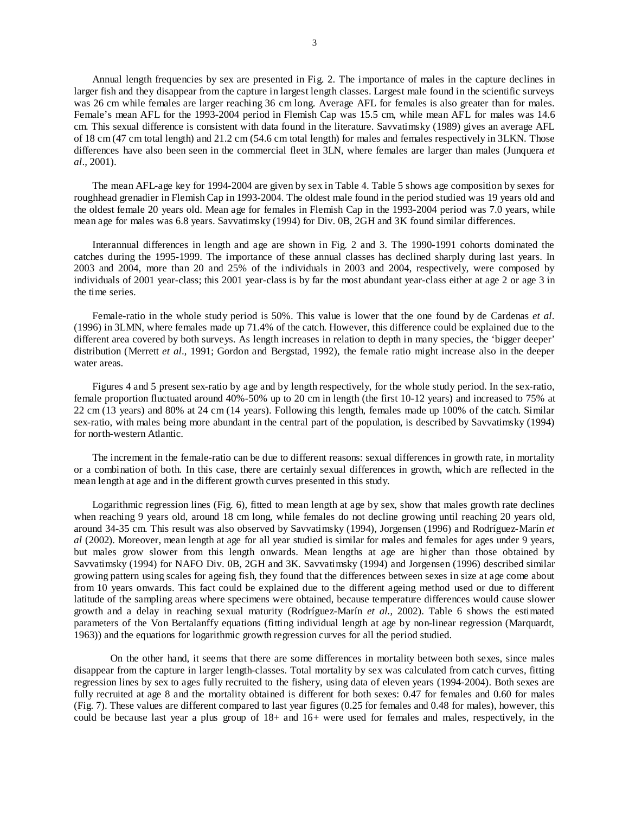Annual length frequencies by sex are presented in Fig. 2. The importance of males in the capture declines in larger fish and they disappear from the capture in largest length classes. Largest male found in the scientific surveys was 26 cm while females are larger reaching 36 cm long. Average AFL for females is also greater than for males. Female's mean AFL for the 1993-2004 period in Flemish Cap was 15.5 cm, while mean AFL for males was 14.6 cm. This sexual difference is consistent with data found in the literature. Savvatimsky (1989) gives an average AFL of 18 cm (47 cm total length) and 21.2 cm (54.6 cm total length) for males and females respectively in 3LKN. Those differences have also been seen in the commercial fleet in 3LN, where females are larger than males (Junquera *et al*., 2001).

The mean AFL-age key for 1994-2004 are given by sex in Table 4. Table 5 shows age composition by sexes for roughhead grenadier in Flemish Cap in 1993-2004. The oldest male found in the period studied was 19 years old and the oldest female 20 years old. Mean age for females in Flemish Cap in the 1993-2004 period was 7.0 years, while mean age for males was 6.8 years. Savvatimsky (1994) for Div. 0B, 2GH and 3K found similar differences.

Interannual differences in length and age are shown in Fig. 2 and 3. The 1990-1991 cohorts dominated the catches during the 1995-1999. The importance of these annual classes has declined sharply during last years. In 2003 and 2004, more than 20 and 25% of the individuals in 2003 and 2004, respectively, were composed by individuals of 2001 year-class; this 2001 year-class is by far the most abundant year-class either at age 2 or age 3 in the time series.

Female-ratio in the whole study period is 50%. This value is lower that the one found by de Cardenas *et al*. (1996) in 3LMN, where females made up 71.4% of the catch. However, this difference could be explained due to the different area covered by both surveys. As length increases in relation to depth in many species, the 'bigger deeper' distribution (Merrett *et al*., 1991; Gordon and Bergstad, 1992), the female ratio might increase also in the deeper water areas.

Figures 4 and 5 present sex-ratio by age and by length respectively, for the whole study period. In the sex-ratio, female proportion fluctuated around 40%-50% up to 20 cm in length (the first 10-12 years) and increased to 75% at 22 cm (13 years) and 80% at 24 cm (14 years). Following this length, females made up 100% of the catch. Similar sex-ratio, with males being more abundant in the central part of the population, is described by Savvatimsky (1994) for north-western Atlantic.

The increment in the female-ratio can be due to different reasons: sexual differences in growth rate, in mortality or a combination of both. In this case, there are certainly sexual differences in growth, which are reflected in the mean length at age and in the different growth curves presented in this study.

Logarithmic regression lines (Fig. 6), fitted to mean length at age by sex, show that males growth rate declines when reaching 9 years old, around 18 cm long, while females do not decline growing until reaching 20 years old, around 34-35 cm. This result was also observed by Savvatimsky (1994), Jorgensen (1996) and Rodríguez-Marín *et al* (2002). Moreover, mean length at age for all year studied is similar for males and females for ages under 9 years, but males grow slower from this length onwards. Mean lengths at age are higher than those obtained by Savvatimsky (1994) for NAFO Div. 0B, 2GH and 3K. Savvatimsky (1994) and Jorgensen (1996) described similar growing pattern using scales for ageing fish, they found that the differences between sexes in size at age come about from 10 years onwards. This fact could be explained due to the different ageing method used or due to different latitude of the sampling areas where specimens were obtained, because temperature differences would cause slower growth and a delay in reaching sexual maturity (Rodríguez-Marín *et al.*, 2002). Table 6 shows the estimated parameters of the Von Bertalanffy equations (fitting individual length at age by non-linear regression (Marquardt, 1963)) and the equations for logarithmic growth regression curves for all the period studied.

On the other hand, it seems that there are some differences in mortality between both sexes, since males disappear from the capture in larger length-classes. Total mortality by sex was calculated from catch curves, fitting regression lines by sex to ages fully recruited to the fishery, using data of eleven years (1994-2004). Both sexes are fully recruited at age 8 and the mortality obtained is different for both sexes: 0.47 for females and 0.60 for males (Fig. 7). These values are different compared to last year figures (0.25 for females and 0.48 for males), however, this could be because last year a plus group of 18+ and 16+ were used for females and males, respectively, in the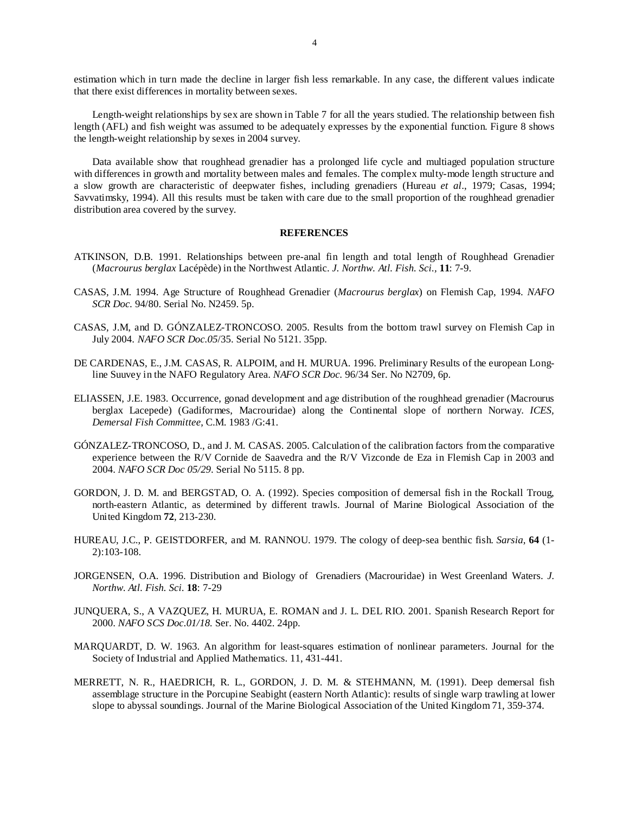estimation which in turn made the decline in larger fish less remarkable. In any case, the different values indicate that there exist differences in mortality between sexes.

Length-weight relationships by sex are shown in Table 7 for all the years studied. The relationship between fish length (AFL) and fish weight was assumed to be adequately expresses by the exponential function. Figure 8 shows the length-weight relationship by sexes in 2004 survey.

Data available show that roughhead grenadier has a prolonged life cycle and multiaged population structure with differences in growth and mortality between males and females. The complex multy-mode length structure and a slow growth are characteristic of deepwater fishes, including grenadiers (Hureau *et al*., 1979; Casas, 1994; Savvatimsky, 1994). All this results must be taken with care due to the small proportion of the roughhead grenadier distribution area covered by the survey.

#### **REFERENCES**

- ATKINSON, D.B. 1991. Relationships between pre-anal fin length and total length of Roughhead Grenadier (*Macrourus berglax* Lacépède) in the Northwest Atlantic. *J. Northw. Atl. Fish. Sci.,* **11**: 7-9.
- CASAS, J.M. 1994. Age Structure of Roughhead Grenadier (*Macrourus berglax*) on Flemish Cap, 1994. *NAFO SCR Doc.* 94/80. Serial No. N2459. 5p.
- CASAS, J.M, and D. GÓNZALEZ-TRONCOSO. 2005. Results from the bottom trawl survey on Flemish Cap in July 2004. *NAFO SCR Doc.05*/35. Serial No 5121. 35pp.
- DE CARDENAS, E., J.M. CASAS, R. ALPOIM, and H. MURUA. 1996. Preliminary Results of the european Longline Suuvey in the NAFO Regulatory Area. *NAFO SCR Doc.* 96/34 Ser. No N2709, 6p.
- ELIASSEN, J.E. 1983. Occurrence, gonad development and age distribution of the roughhead grenadier (Macrourus berglax Lacepede) (Gadiformes, Macrouridae) along the Continental slope of northern Norway. *ICES, Demersal Fish Committee*, C.M. 1983 /G:41.
- GÓNZALEZ-TRONCOSO, D., and J. M. CASAS. 2005. Calculation of the calibration factors from the comparative experience between the R/V Cornide de Saavedra and the R/V Vizconde de Eza in Flemish Cap in 2003 and 2004. *NAFO SCR Doc 05/29*. Serial No 5115. 8 pp.
- GORDON, J. D. M. and BERGSTAD, O. A. (1992). Species composition of demersal fish in the Rockall Troug, north-eastern Atlantic, as determined by different trawls. Journal of Marine Biological Association of the United Kingdom **72**, 213-230.
- HUREAU, J.C., P. GEISTDORFER, and M. RANNOU. 1979. The cology of deep-sea benthic fish. *Sarsia*, **64** (1- 2):103-108.
- JORGENSEN, O.A. 1996. Distribution and Biology of Grenadiers (Macrouridae) in West Greenland Waters. *J. Northw. Atl. Fish. Sci.* **18**: 7-29
- JUNQUERA, S., A VAZQUEZ, H. MURUA, E. ROMAN and J. L. DEL RIO. 2001. Spanish Research Report for 2000. *NAFO SCS Doc.01/18.* Ser. No. 4402. 24pp.
- MARQUARDT, D. W. 1963. An algorithm for least-squares estimation of nonlinear parameters. Journal for the Society of Industrial and Applied Mathematics. 11, 431-441.
- MERRETT, N. R., HAEDRICH, R. L., GORDON, J. D. M. & STEHMANN, M. (1991). Deep demersal fish assemblage structure in the Porcupine Seabight (eastern North Atlantic): results of single warp trawling at lower slope to abyssal soundings. Journal of the Marine Biological Association of the United Kingdom 71, 359-374.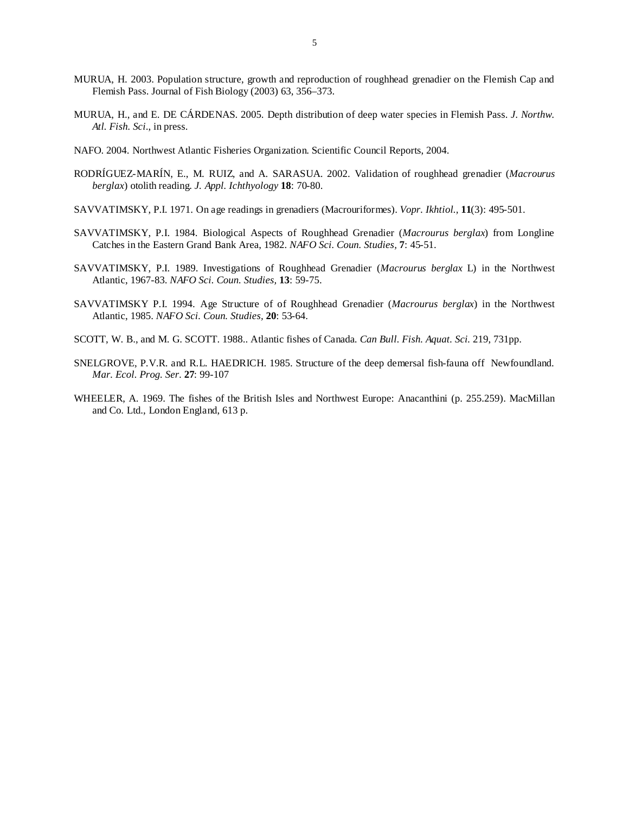- MURUA, H. 2003. Population structure, growth and reproduction of roughhead grenadier on the Flemish Cap and Flemish Pass. Journal of Fish Biology (2003) 63, 356–373.
- MURUA, H., and E. DE CÁRDENAS. 2005. Depth distribution of deep water species in Flemish Pass. *J. Northw. Atl. Fish. Sci*., in press.
- NAFO. 2004. Northwest Atlantic Fisheries Organization. Scientific Council Reports, 2004.
- RODRÍGUEZ-MARÍN, E., M. RUIZ, and A. SARASUA. 2002. Validation of roughhead grenadier (*Macrourus berglax*) otolith reading. *J. Appl. Ichthyology* **18**: 70-80.
- SAVVATIMSKY, P.I. 1971. On age readings in grenadiers (Macrouriformes). *Vopr. Ikhtiol.,* **11**(3): 495-501.
- SAVVATIMSKY, P.I. 1984. Biological Aspects of Roughhead Grenadier (*Macrourus berglax*) from Longline Catches in the Eastern Grand Bank Area, 1982. *NAFO Sci. Coun. Studies,* **7**: 45-51.
- SAVVATIMSKY, P.I. 1989. Investigations of Roughhead Grenadier (*Macrourus berglax* L) in the Northwest Atlantic, 1967-83. *NAFO Sci. Coun. Studies,* **13**: 59-75.
- SAVVATIMSKY P.I. 1994. Age Structure of of Roughhead Grenadier (*Macrourus berglax*) in the Northwest Atlantic, 1985. *NAFO Sci. Coun. Studies,* **20**: 53-64.
- SCOTT, W. B., and M. G. SCOTT. 1988.. Atlantic fishes of Canada*. Can Bull. Fish. Aquat. Sci.* 219, 731pp.
- SNELGROVE, P.V.R. and R.L. HAEDRICH. 1985. Structure of the deep demersal fish-fauna off Newfoundland. *Mar. Ecol. Prog. Ser.* **27**: 99-107
- WHEELER, A. 1969. The fishes of the British Isles and Northwest Europe: Anacanthini (p. 255.259). MacMillan and Co. Ltd., London England, 613 p.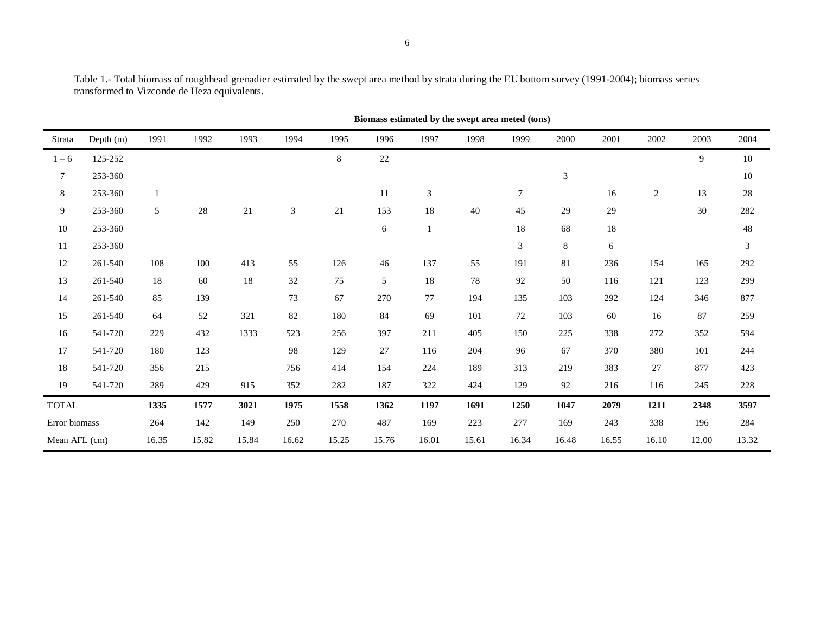|                |           |       |       |       |       |         | Biomass estimated by the swept area meted (tons) |       |       |        |         |        |                |       |       |
|----------------|-----------|-------|-------|-------|-------|---------|--------------------------------------------------|-------|-------|--------|---------|--------|----------------|-------|-------|
| Strata         | Depth (m) | 1991  | 1992  | 1993  | 1994  | 1995    | 1996                                             | 1997  | 1998  | 1999   | 2000    | 2001   | 2002           | 2003  | 2004  |
| $1 - 6$        | 125-252   |       |       |       |       | $\,8\,$ | 22                                               |       |       |        |         |        |                | 9     | 10    |
| $\overline{7}$ | 253-360   |       |       |       |       |         |                                                  |       |       |        | 3       |        |                |       | 10    |
| $\,8\,$        | 253-360   |       |       |       |       |         | 11                                               | 3     |       | $\tau$ |         | 16     | $\overline{c}$ | 13    | 28    |
| 9              | 253-360   | 5     | 28    | 21    | 3     | 21      | 153                                              | 18    | 40    | 45     | 29      | 29     |                | 30    | 282   |
| $10\,$         | 253-360   |       |       |       |       |         | 6                                                |       |       | 18     | 68      | $18\,$ |                |       | 48    |
| $11\,$         | 253-360   |       |       |       |       |         |                                                  |       |       | 3      | $\,8\,$ | 6      |                |       | 3     |
| 12             | 261-540   | 108   | 100   | 413   | 55    | 126     | 46                                               | 137   | 55    | 191    | 81      | 236    | 154            | 165   | 292   |
| 13             | 261-540   | 18    | 60    | 18    | 32    | 75      | 5                                                | 18    | 78    | 92     | 50      | 116    | 121            | 123   | 299   |
| 14             | 261-540   | 85    | 139   |       | 73    | 67      | 270                                              | 77    | 194   | 135    | 103     | 292    | 124            | 346   | 877   |
| 15             | 261-540   | 64    | 52    | 321   | 82    | 180     | 84                                               | 69    | 101   | 72     | 103     | 60     | 16             | 87    | 259   |
| 16             | 541-720   | 229   | 432   | 1333  | 523   | 256     | 397                                              | 211   | 405   | 150    | 225     | 338    | 272            | 352   | 594   |
| 17             | 541-720   | 180   | 123   |       | 98    | 129     | 27                                               | 116   | 204   | 96     | 67      | 370    | 380            | 101   | 244   |
| 18             | 541-720   | 356   | 215   |       | 756   | 414     | 154                                              | 224   | 189   | 313    | 219     | 383    | 27             | 877   | 423   |
| 19             | 541-720   | 289   | 429   | 915   | 352   | 282     | 187                                              | 322   | 424   | 129    | 92      | 216    | 116            | 245   | 228   |
| <b>TOTAL</b>   |           | 1335  | 1577  | 3021  | 1975  | 1558    | 1362                                             | 1197  | 1691  | 1250   | 1047    | 2079   | 1211           | 2348  | 3597  |
| Error biomass  |           | 264   | 142   | 149   | 250   | 270     | 487                                              | 169   | 223   | 277    | 169     | 243    | 338            | 196   | 284   |
| Mean AFL (cm)  |           | 16.35 | 15.82 | 15.84 | 16.62 | 15.25   | 15.76                                            | 16.01 | 15.61 | 16.34  | 16.48   | 16.55  | 16.10          | 12.00 | 13.32 |

Table 1.- Total biomass of roughhead grenadier estimated by the swept area method by strata during the EU bottom survey (1991-2004); biomass series transformed to Vizconde de Heza equivalents.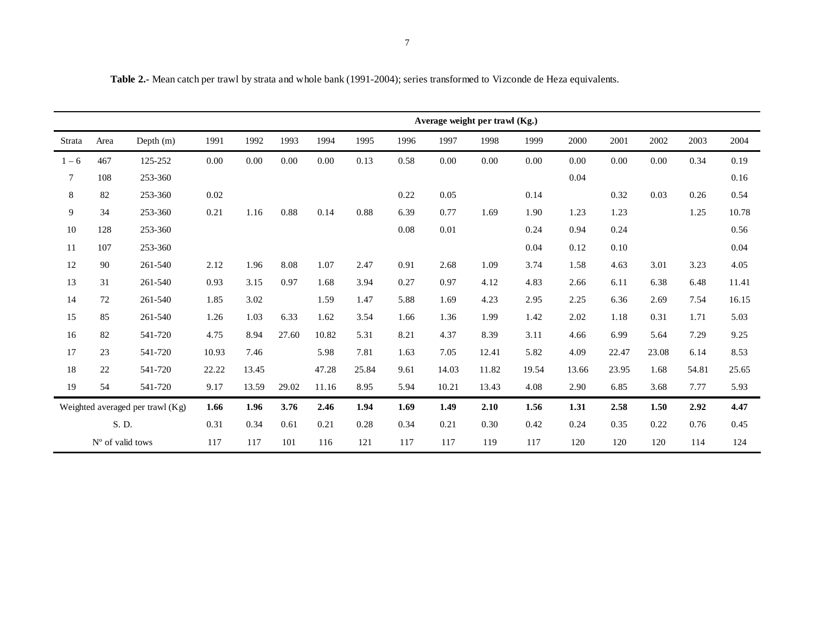|         |                    |                                    |       |       |       |       |       |      |       | Average weight per trawl (Kg.) |       |       |       |       |       |       |
|---------|--------------------|------------------------------------|-------|-------|-------|-------|-------|------|-------|--------------------------------|-------|-------|-------|-------|-------|-------|
| Strata  | Area               | Depth $(m)$                        | 1991  | 1992  | 1993  | 1994  | 1995  | 1996 | 1997  | 1998                           | 1999  | 2000  | 2001  | 2002  | 2003  | 2004  |
| $1 - 6$ | 467                | 125-252                            | 0.00  | 0.00  | 0.00  | 0.00  | 0.13  | 0.58 | 0.00  | 0.00                           | 0.00  | 0.00  | 0.00  | 0.00  | 0.34  | 0.19  |
| 7       | 108                | 253-360                            |       |       |       |       |       |      |       |                                |       | 0.04  |       |       |       | 0.16  |
| 8       | 82                 | 253-360                            | 0.02  |       |       |       |       | 0.22 | 0.05  |                                | 0.14  |       | 0.32  | 0.03  | 0.26  | 0.54  |
| 9       | 34                 | 253-360                            | 0.21  | 1.16  | 0.88  | 0.14  | 0.88  | 6.39 | 0.77  | 1.69                           | 1.90  | 1.23  | 1.23  |       | 1.25  | 10.78 |
| 10      | 128                | 253-360                            |       |       |       |       |       | 0.08 | 0.01  |                                | 0.24  | 0.94  | 0.24  |       |       | 0.56  |
| 11      | 107                | 253-360                            |       |       |       |       |       |      |       |                                | 0.04  | 0.12  | 0.10  |       |       | 0.04  |
| 12      | 90                 | 261-540                            | 2.12  | 1.96  | 8.08  | 1.07  | 2.47  | 0.91 | 2.68  | 1.09                           | 3.74  | 1.58  | 4.63  | 3.01  | 3.23  | 4.05  |
| 13      | 31                 | 261-540                            | 0.93  | 3.15  | 0.97  | 1.68  | 3.94  | 0.27 | 0.97  | 4.12                           | 4.83  | 2.66  | 6.11  | 6.38  | 6.48  | 11.41 |
| 14      | 72                 | 261-540                            | 1.85  | 3.02  |       | 1.59  | 1.47  | 5.88 | 1.69  | 4.23                           | 2.95  | 2.25  | 6.36  | 2.69  | 7.54  | 16.15 |
| 15      | 85                 | 261-540                            | 1.26  | 1.03  | 6.33  | 1.62  | 3.54  | 1.66 | 1.36  | 1.99                           | 1.42  | 2.02  | 1.18  | 0.31  | 1.71  | 5.03  |
| 16      | 82                 | 541-720                            | 4.75  | 8.94  | 27.60 | 10.82 | 5.31  | 8.21 | 4.37  | 8.39                           | 3.11  | 4.66  | 6.99  | 5.64  | 7.29  | 9.25  |
| 17      | 23                 | 541-720                            | 10.93 | 7.46  |       | 5.98  | 7.81  | 1.63 | 7.05  | 12.41                          | 5.82  | 4.09  | 22.47 | 23.08 | 6.14  | 8.53  |
| 18      | 22                 | 541-720                            | 22.22 | 13.45 |       | 47.28 | 25.84 | 9.61 | 14.03 | 11.82                          | 19.54 | 13.66 | 23.95 | 1.68  | 54.81 | 25.65 |
| 19      | 54                 | 541-720                            | 9.17  | 13.59 | 29.02 | 11.16 | 8.95  | 5.94 | 10.21 | 13.43                          | 4.08  | 2.90  | 6.85  | 3.68  | 7.77  | 5.93  |
|         |                    | Weighted averaged per trawl $(Kg)$ | 1.66  | 1.96  | 3.76  | 2.46  | 1.94  | 1.69 | 1.49  | 2.10                           | 1.56  | 1.31  | 2.58  | 1.50  | 2.92  | 4.47  |
|         | S. D.              |                                    | 0.31  | 0.34  | 0.61  | 0.21  | 0.28  | 0.34 | 0.21  | 0.30                           | 0.42  | 0.24  | 0.35  | 0.22  | 0.76  | 0.45  |
|         | $No$ of valid tows |                                    | 117   | 117   | 101   | 116   | 121   | 117  | 117   | 119                            | 117   | 120   | 120   | 120   | 114   | 124   |

**Table 2.-** Mean catch per trawl by strata and whole bank (1991-2004); series transformed to Vizconde de Heza equivalents.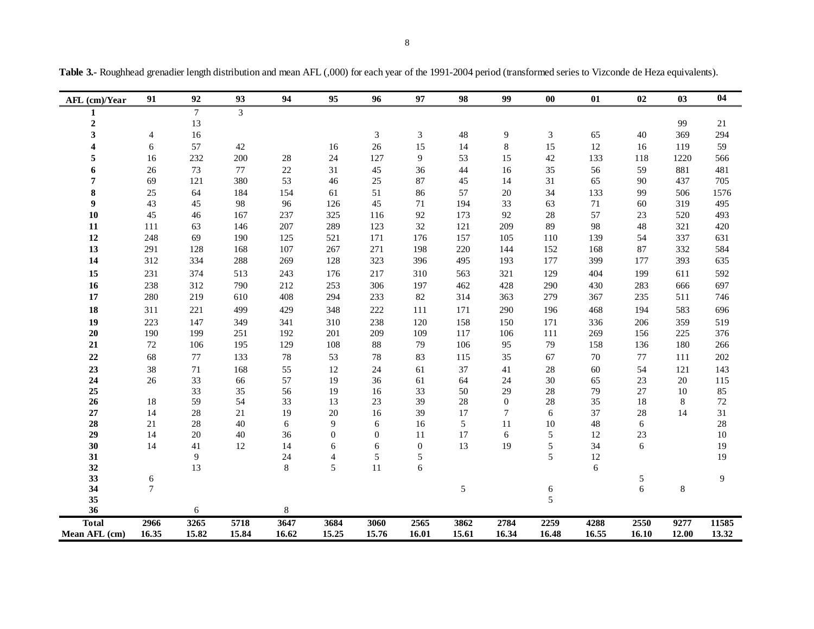|  | <b>Table 3.-</b> Roughhead grenadier length distribution and mean AFL (.000) for each year of the 1991-2004 period (transformed series to Vizconde de Heza equivalents). |  |  |  |
|--|--------------------------------------------------------------------------------------------------------------------------------------------------------------------------|--|--|--|
|  |                                                                                                                                                                          |  |  |  |

| AFL (cm)/Year           | 91             | 92       | 93       | 94      | 95             | 96       | 97           | 98         | 99                   | $\bf{00}$ | 01       | 02      | 03    | 04       |
|-------------------------|----------------|----------|----------|---------|----------------|----------|--------------|------------|----------------------|-----------|----------|---------|-------|----------|
| 1                       |                | $\tau$   | 3        |         |                |          |              |            |                      |           |          |         |       |          |
| $\mathbf 2$             |                | 13       |          |         |                |          |              |            |                      |           |          |         | 99    | $21\,$   |
| 3                       | 4              | 16       |          |         |                | 3        | 3            | 48         | 9                    | 3         | 65       | 40      | 369   | 294      |
| $\overline{\mathbf{4}}$ | 6              | 57       | $42\,$   |         | 16             | $26\,$   | 15           | 14         | $\,8\,$              | 15        | 12       | 16      | 119   | 59       |
| 5                       | 16             | 232      | 200      | $28\,$  | 24             | 127      | 9            | 53         | 15                   | 42        | 133      | 118     | 1220  | 566      |
| 6                       | 26             | 73       | $77\,$   | 22      | 31             | 45       | 36           | 44         | 16                   | 35        | 56       | 59      | 881   | 481      |
| 7                       | 69             | 121      | 380      | 53      | 46             | $25\,$   | 87           | 45         | 14                   | 31        | 65       | 90      | 437   | 705      |
| 8                       | 25             | 64       | 184      | 154     | 61             | 51       | 86           | 57         | 20                   | 34        | 133      | 99      | 506   | 1576     |
| $\boldsymbol{9}$        | 43             | 45       | 98       | 96      | 126            | 45       | 71           | 194        | 33                   | 63        | 71       | 60      | 319   | 495      |
| 10                      | 45             | 46       | 167      | 237     | 325            | 116      | 92           | 173        | 92                   | 28        | 57       | 23      | 520   | 493      |
| ${\bf 11}$              | 111            | 63       | 146      | 207     | 289            | 123      | 32           | 121        | 209                  | 89        | 98       | 48      | 321   | 420      |
| 12                      | 248            | 69       | 190      | 125     | 521            | 171      | 176          | 157        | 105                  | 110       | 139      | 54      | 337   | 631      |
| 13                      | 291            | 128      | 168      | 107     | 267            | 271      | 198          | 220        | 144                  | 152       | 168      | 87      | 332   | 584      |
| 14                      | 312            | 334      | 288      | 269     | 128            | 323      | 396          | 495        | 193                  | 177       | 399      | 177     | 393   | 635      |
| 15                      | 231            | 374      | 513      | 243     | 176            | 217      | 310          | 563        | 321                  | 129       | 404      | 199     | 611   | 592      |
| 16                      | 238            | 312      | 790      | 212     | 253            | 306      | 197          | 462        | 428                  | 290       | 430      | 283     | 666   | 697      |
| $17\,$                  | 280            | 219      | 610      | 408     | 294            | 233      | 82           | 314        | 363                  | 279       | 367      | 235     | 511   | 746      |
| 18                      | 311            | 221      | 499      | 429     | 348            | 222      | 111          | 171        | 290                  | 196       | 468      | 194     | 583   | 696      |
| 19                      | 223            | 147      | 349      | 341     | 310            | 238      | 120          | 158        | 150                  | 171       | 336      | 206     | 359   | 519      |
| $20\,$                  | 190            | 199      | 251      | 192     | 201            | 209      | 109          | 117        | 106                  | 111       | 269      | 156     | 225   | 376      |
| 21                      | $72\,$         | 106      | 195      | 129     | 108            | $88\,$   | 79           | 106        | 95                   | 79        | 158      | 136     | 180   | 266      |
| $22\,$                  | 68             | 77       | 133      | 78      | 53             | 78       | 83           | 115        | 35                   | 67        | 70       | 77      | 111   | 202      |
| 23                      | 38             | 71       | 168      | 55      | 12             | 24       | 61           | 37         | 41                   | 28        | 60       | 54      | 121   | 143      |
| 24                      | 26             | 33       | 66       | 57      | 19             | 36       | 61           | 64         | 24                   | 30        | 65       | 23      | 20    | 115      |
| 25                      |                | 33       | 35       | 56      | 19             | 16       | 33           | 50         | 29                   | 28        | 79       | 27      | 10    | 85       |
| 26                      | 18             | 59       | 54       | 33      | 13             | 23       | 39           | 28         | $\mathbf{0}$         | 28        | 35       | 18      | 8     | $72\,$   |
| $27\,$<br>28            | 14<br>21       | 28<br>28 | 21<br>40 | 19<br>6 | 20<br>9        | 16<br>6  | 39<br>16     | 17<br>5    | $\overline{7}$<br>11 | 6<br>10   | 37<br>48 | 28      | 14    | 31<br>28 |
| 29                      | 14             | 20       | 40       | 36      | $\overline{0}$ | $\theta$ | 11           | 17         | 6                    | 5         | 12       | 6<br>23 |       | 10       |
| 30                      | 14             | 41       | 12       | 14      | 6              | 6        | $\mathbf{0}$ | 13         | 19                   | 5         | 34       | 6       |       | 19       |
| 31                      |                | 9        |          | 24      | $\overline{4}$ | 5        | 5            |            |                      | 5         | 12       |         |       | 19       |
| 32                      |                | 13       |          | 8       | 5              | 11       | 6            |            |                      |           | 6        |         |       |          |
| 33                      | 6              |          |          |         |                |          |              |            |                      |           |          | 5       |       | 9        |
| 34                      | $\overline{7}$ |          |          |         |                |          |              | $\sqrt{5}$ |                      | 6         |          | 6       | 8     |          |
| 35                      |                |          |          |         |                |          |              |            |                      | 5         |          |         |       |          |
| 36                      |                | 6        |          | 8       |                |          |              |            |                      |           |          |         |       |          |
| <b>Total</b>            | 2966           | 3265     | 5718     | 3647    | 3684           | 3060     | 2565         | 3862       | 2784                 | 2259      | 4288     | 2550    | 9277  | 11585    |
| Mean AFL (cm)           | 16.35          | 15.82    | 15.84    | 16.62   | 15.25          | 15.76    | 16.01        | 15.61      | 16.34                | 16.48     | 16.55    | 16.10   | 12.00 | 13.32    |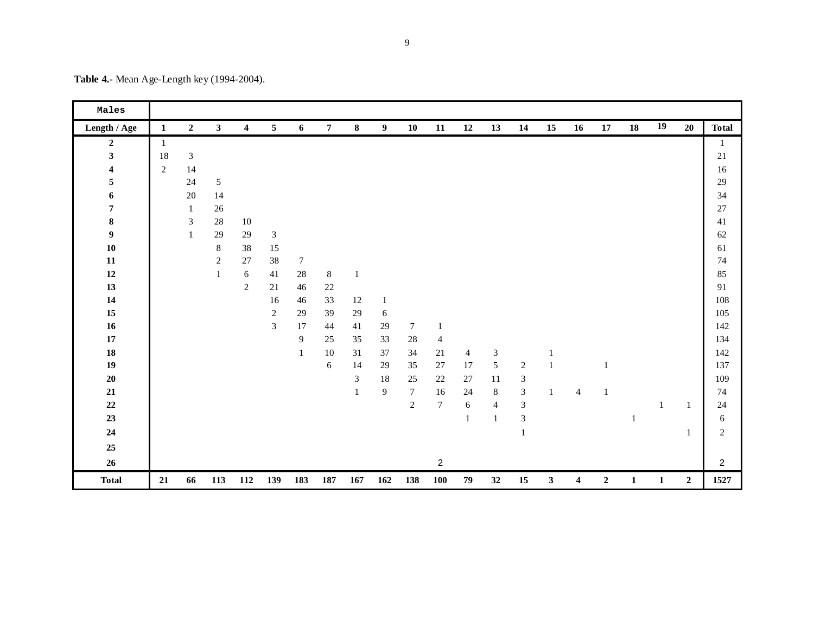|  |  | Table 4.- Mean Age-Length key (1994-2004). |
|--|--|--------------------------------------------|
|  |  |                                            |

| Males                   |                |                |                |                  |                 |                  |                |                |                |                |                 |                |                             |                             |              |                         |                  |              |              |                  |                |
|-------------------------|----------------|----------------|----------------|------------------|-----------------|------------------|----------------|----------------|----------------|----------------|-----------------|----------------|-----------------------------|-----------------------------|--------------|-------------------------|------------------|--------------|--------------|------------------|----------------|
| Length / Age            | $\mathbf{1}$   | $\mathbf{2}$   | $\mathbf{3}$   | $\boldsymbol{4}$ | $5\phantom{.0}$ | 6                | $\overline{7}$ | $\bf8$         | 9              | 10             | 11              | 12             | 13                          | 14                          | 15           | 16                      | ${\bf 17}$       | 18           | 19           | 20               | <b>Total</b>   |
| $\boldsymbol{2}$        | $\mathbf{1}$   |                |                |                  |                 |                  |                |                |                |                |                 |                |                             |                             |              |                         |                  |              |              |                  | 1              |
| $\overline{\mathbf{3}}$ | 18             | $\mathfrak{Z}$ |                |                  |                 |                  |                |                |                |                |                 |                |                             |                             |              |                         |                  |              |              |                  | $21\,$         |
| $\overline{\mathbf{4}}$ | $\overline{2}$ | 14             |                |                  |                 |                  |                |                |                |                |                 |                |                             |                             |              |                         |                  |              |              |                  | $16\,$         |
| 5                       |                | 24             | 5              |                  |                 |                  |                |                |                |                |                 |                |                             |                             |              |                         |                  |              |              |                  | 29             |
| $\boldsymbol{6}$        |                | 20             | 14             |                  |                 |                  |                |                |                |                |                 |                |                             |                             |              |                         |                  |              |              |                  | 34             |
| $\pmb{7}$               |                | $\mathbf{1}$   | $26\,$         |                  |                 |                  |                |                |                |                |                 |                |                             |                             |              |                         |                  |              |              |                  | 27             |
| $\bf{8}$                |                | $\mathfrak{Z}$ | 28             | $10\,$           |                 |                  |                |                |                |                |                 |                |                             |                             |              |                         |                  |              |              |                  | 41             |
| $\boldsymbol{9}$        |                | $\mathbf{1}$   | 29             | 29               | $\sqrt{3}$      |                  |                |                |                |                |                 |                |                             |                             |              |                         |                  |              |              |                  | 62             |
| ${\bf 10}$              |                |                | $8\,$          | 38               | 15              |                  |                |                |                |                |                 |                |                             |                             |              |                         |                  |              |              |                  | 61             |
| ${\bf 11}$              |                |                | $\overline{c}$ | 27               | 38              | $\boldsymbol{7}$ |                |                |                |                |                 |                |                             |                             |              |                         |                  |              |              |                  | 74             |
| $12\,$                  |                |                | $\,1$          | $\sqrt{6}$       | 41              | $28\,$           | $\,8\,$        | $\mathbf{1}$   |                |                |                 |                |                             |                             |              |                         |                  |              |              |                  | 85             |
| 13                      |                |                |                | $\sqrt{2}$       | $21\,$          | 46               | $22\,$         |                |                |                |                 |                |                             |                             |              |                         |                  |              |              |                  | 91             |
| 14                      |                |                |                |                  | 16              | 46               | 33             | 12             | $\mathbf{1}$   |                |                 |                |                             |                             |              |                         |                  |              |              |                  | 108            |
| $15\,$                  |                |                |                |                  | $\sqrt{2}$      | 29               | 39             | $29\,$         | $\epsilon$     |                |                 |                |                             |                             |              |                         |                  |              |              |                  | 105            |
| 16                      |                |                |                |                  | $\mathfrak{Z}$  | 17               | 44             | 41             | 29             | $\tau$         | $\mathbf{1}$    |                |                             |                             |              |                         |                  |              |              |                  | 142            |
| $17\,$                  |                |                |                |                  |                 | $\boldsymbol{9}$ | 25             | 35             | 33             | $28\,$         | $\overline{4}$  |                |                             |                             |              |                         |                  |              |              |                  | 134            |
| ${\bf 18}$              |                |                |                |                  |                 | $\mathbf{1}$     | $10\,$         | 31             | 37             | 34             | $21\,$          | $\overline{4}$ | $\ensuremath{\mathfrak{Z}}$ |                             | $\mathbf{1}$ |                         |                  |              |              |                  | 142            |
| 19                      |                |                |                |                  |                 |                  | $\sqrt{6}$     | 14             | 29             | 35             | $27\,$          | $17\,$         | 5                           | $\sqrt{2}$                  | $\mathbf{1}$ |                         |                  |              |              |                  | 137            |
| ${\bf 20}$              |                |                |                |                  |                 |                  |                | $\mathfrak{Z}$ | 18             | 25             | 22              | 27             | 11                          | $\sqrt{3}$                  |              |                         |                  |              |              |                  | 109            |
| ${\bf 21}$              |                |                |                |                  |                 |                  |                | $\mathbf{1}$   | $\overline{9}$ | $\overline{7}$ | 16              | 24             | $8\,$                       | $\overline{3}$              | 1            | $\overline{4}$          | $\mathbf{1}$     |              |              |                  | 74             |
| $\bf 22$                |                |                |                |                  |                 |                  |                |                |                | $\sqrt{2}$     | $7\phantom{.0}$ | $\sqrt{6}$     | $\overline{4}$              | $\ensuremath{\mathfrak{Z}}$ |              |                         |                  |              | 1            | 1                | $24\,$         |
| 23                      |                |                |                |                  |                 |                  |                |                |                |                |                 | $\mathbf{1}$   | 1                           | $\overline{3}$              |              |                         |                  | 1            |              |                  | 6              |
| 24                      |                |                |                |                  |                 |                  |                |                |                |                |                 |                |                             | $\mathbf 1$                 |              |                         |                  |              |              | $\mathbf{1}$     | $\overline{2}$ |
| 25                      |                |                |                |                  |                 |                  |                |                |                |                |                 |                |                             |                             |              |                         |                  |              |              |                  |                |
| $26\,$                  |                |                |                |                  |                 |                  |                |                |                |                | $\overline{2}$  |                |                             |                             |              |                         |                  |              |              |                  | $\overline{2}$ |
| <b>Total</b>            | 21             | 66             | 113            | 112              | 139             | 183              | 187            | $167\,$        | 162            | 138            | ${\bf 100}$     | 79             | 32                          | 15                          | 3            | $\overline{\mathbf{4}}$ | $\boldsymbol{2}$ | $\mathbf{1}$ | $\mathbf{1}$ | $\boldsymbol{2}$ | 1527           |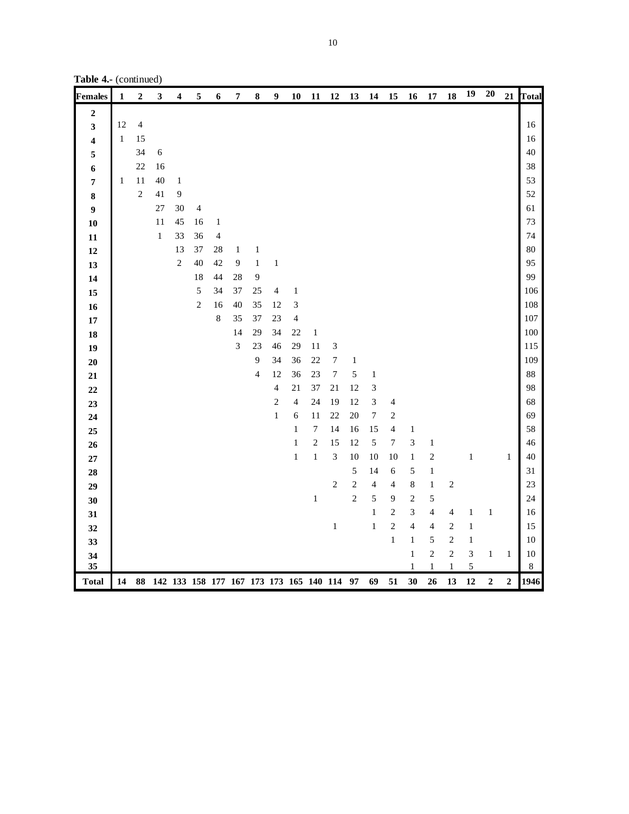**Table 4.-** (continued)

| <b>Females</b>          | $\mathbf{1}$ | $\boldsymbol{2}$ | 3           |              | 5                                             | 6                        | 7                           | 8              | 9                        | 10             | 11               | 12               | 13             | 14             | 15                           | 16                      | 17                        | 18                    | 19     | <b>20</b>        | 21               | Total             |
|-------------------------|--------------|------------------|-------------|--------------|-----------------------------------------------|--------------------------|-----------------------------|----------------|--------------------------|----------------|------------------|------------------|----------------|----------------|------------------------------|-------------------------|---------------------------|-----------------------|--------|------------------|------------------|-------------------|
| $\mathbf 2$             |              |                  |             |              |                                               |                          |                             |                |                          |                |                  |                  |                |                |                              |                         |                           |                       |        |                  |                  |                   |
| 3                       | 12           | $\overline{4}$   |             |              |                                               |                          |                             |                |                          |                |                  |                  |                |                |                              |                         |                           |                       |        |                  |                  | 16                |
| $\overline{\mathbf{4}}$ | $\mathbf{1}$ | 15               |             |              |                                               |                          |                             |                |                          |                |                  |                  |                |                |                              |                         |                           |                       |        |                  |                  | 16                |
| 5                       |              | 34               | $\sqrt{6}$  |              |                                               |                          |                             |                |                          |                |                  |                  |                |                |                              |                         |                           |                       |        |                  |                  | 40                |
| 6                       |              | $22\,$           | 16          |              |                                               |                          |                             |                |                          |                |                  |                  |                |                |                              |                         |                           |                       |        |                  |                  | 38                |
| 7                       | $\mathbf{1}$ | 11               | 40          | $\mathbf 1$  |                                               |                          |                             |                |                          |                |                  |                  |                |                |                              |                         |                           |                       |        |                  |                  | 53                |
| 8                       |              | $\overline{c}$   | 41          | $\mathbf{9}$ |                                               |                          |                             |                |                          |                |                  |                  |                |                |                              |                         |                           |                       |        |                  |                  | 52                |
| 9                       |              |                  | 27          | 30           | $\overline{4}$                                |                          |                             |                |                          |                |                  |                  |                |                |                              |                         |                           |                       |        |                  |                  | 61                |
| 10                      |              |                  | 11          | 45           | 16                                            | $\mathbf{1}$             |                             |                |                          |                |                  |                  |                |                |                              |                         |                           |                       |        |                  |                  | 73                |
| 11                      |              |                  | $\mathbf 1$ | 33           | 36                                            | $\overline{\mathcal{A}}$ |                             |                |                          |                |                  |                  |                |                |                              |                         |                           |                       |        |                  |                  | 74                |
| 12                      |              |                  |             | 13           | 37                                            | 28                       | $\mathbf{1}$                | $\mathbf{1}$   |                          |                |                  |                  |                |                |                              |                         |                           |                       |        |                  |                  | 80                |
| 13                      |              |                  |             | $\sqrt{2}$   | 40                                            | 42                       | $\boldsymbol{9}$            | $\mathbf{1}$   | $\,1$                    |                |                  |                  |                |                |                              |                         |                           |                       |        |                  |                  | 95                |
| 14                      |              |                  |             |              | 18                                            | 44                       | 28                          | 9              |                          |                |                  |                  |                |                |                              |                         |                           |                       |        |                  |                  | 99                |
| 15                      |              |                  |             |              | $\sqrt{5}$                                    | 34                       | 37                          | 25             | $\overline{\mathcal{A}}$ | $\,1\,$        |                  |                  |                |                |                              |                         |                           |                       |        |                  |                  | 106               |
| 16                      |              |                  |             |              | $\sqrt{2}$                                    | 16                       | 40                          | 35             | 12                       | 3              |                  |                  |                |                |                              |                         |                           |                       |        |                  |                  | 108               |
| $17\,$                  |              |                  |             |              |                                               | $\,$ 8 $\,$              | 35                          | 37             | $23\,$                   | $\overline{4}$ |                  |                  |                |                |                              |                         |                           |                       |        |                  |                  | 107               |
| 18                      |              |                  |             |              |                                               |                          | 14                          | 29             | 34                       | 22             | $\,1\,$          |                  |                |                |                              |                         |                           |                       |        |                  |                  | 100               |
| 19                      |              |                  |             |              |                                               |                          | $\ensuremath{\mathfrak{Z}}$ | 23             | 46                       | 29             | 11               | 3                |                |                |                              |                         |                           |                       |        |                  |                  | 115               |
| $20\,$                  |              |                  |             |              |                                               |                          |                             | $\overline{9}$ | 34                       | 36             | 22               | $\sqrt{ }$       | $\,1$          |                |                              |                         |                           |                       |        |                  |                  | 109               |
| ${\bf 21}$              |              |                  |             |              |                                               |                          |                             | $\overline{4}$ | 12                       | 36             | 23               | $\boldsymbol{7}$ | 5              | $\,1\,$        |                              |                         |                           |                       |        |                  |                  | 88                |
| $\bf{22}$               |              |                  |             |              |                                               |                          |                             |                | $\overline{4}$           | 21             | 37               | 21               | 12             | $\sqrt{3}$     |                              |                         |                           |                       |        |                  |                  | 98                |
| 23                      |              |                  |             |              |                                               |                          |                             |                | $\overline{c}$           | $\overline{4}$ | 24               | 19               | 12             | 3              | $\overline{4}$               |                         |                           |                       |        |                  |                  | 68                |
| 24                      |              |                  |             |              |                                               |                          |                             |                | $\,1$                    | 6              | 11               | 22               | 20             | $\sqrt{ }$     | $\sqrt{2}$                   |                         |                           |                       |        |                  |                  | 69                |
| 25                      |              |                  |             |              |                                               |                          |                             |                |                          | $\,1$          | $\boldsymbol{7}$ | 14               | 16             | 15             | $\overline{4}$               | $\,1$                   |                           |                       |        |                  |                  | 58                |
| 26                      |              |                  |             |              |                                               |                          |                             |                |                          | $\,1$          | $\overline{c}$   | 15               | 12             | 5              | $\boldsymbol{7}$             | 3                       | $\,1\,$                   |                       |        |                  |                  | 46                |
| $\bf 27$                |              |                  |             |              |                                               |                          |                             |                |                          | $\mathbf 1$    | $\,1$            | $\mathfrak{Z}$   | 10             | 10             | 10                           | $\,1\,$                 | $\overline{c}$            |                       | $\,1$  |                  | $\mathbf 1$      | 40                |
| 28                      |              |                  |             |              |                                               |                          |                             |                |                          |                |                  |                  | 5              | 14             | $\sqrt{6}$                   | 5                       | $\,1$                     |                       |        |                  |                  | 31                |
| 29                      |              |                  |             |              |                                               |                          |                             |                |                          |                |                  | $\mathbf{2}$     | $\overline{c}$ | $\overline{4}$ | $\sqrt{4}$                   | 8                       | $\,1$                     | $\overline{c}$        |        |                  |                  | 23                |
| 30                      |              |                  |             |              |                                               |                          |                             |                |                          |                | $\,1\,$          |                  | $\overline{c}$ | 5              | 9                            | $\overline{c}$          | 5                         |                       |        |                  |                  | 24                |
| 31                      |              |                  |             |              |                                               |                          |                             |                |                          |                |                  |                  |                | $\mathbf{1}$   | $\sqrt{2}$<br>$\overline{c}$ | 3                       | $\overline{4}$            | $\overline{4}$        | 1      | $\,1$            |                  | 16<br>15          |
| 32                      |              |                  |             |              |                                               |                          |                             |                |                          |                |                  | $\,1\,$          |                | $\,1\,$        |                              | 4                       | $\overline{4}$            | $\sqrt{2}$            | 1      |                  |                  |                   |
| 33                      |              |                  |             |              |                                               |                          |                             |                |                          |                |                  |                  |                |                | $\,1\,$                      | $\,1$                   | 5                         | $\overline{c}$        | $\,1$  |                  |                  | $10\,$            |
| 34<br>35                |              |                  |             |              |                                               |                          |                             |                |                          |                |                  |                  |                |                |                              | $\mathbf{1}$<br>$\,1\,$ | $\overline{c}$<br>$\,1\,$ | $\sqrt{2}$<br>$\,1\,$ | 3<br>5 | $\,1$            | $\,1$            | $10\,$<br>$\,8\,$ |
| <b>Total</b>            | 14           |                  |             |              | 88 142 133 158 177 167 173 173 165 140 114 97 |                          |                             |                |                          |                |                  |                  |                | 69             | 51                           | 30                      | 26                        | 13                    | 12     | $\boldsymbol{2}$ | $\boldsymbol{2}$ | 1946              |
|                         |              |                  |             |              |                                               |                          |                             |                |                          |                |                  |                  |                |                |                              |                         |                           |                       |        |                  |                  |                   |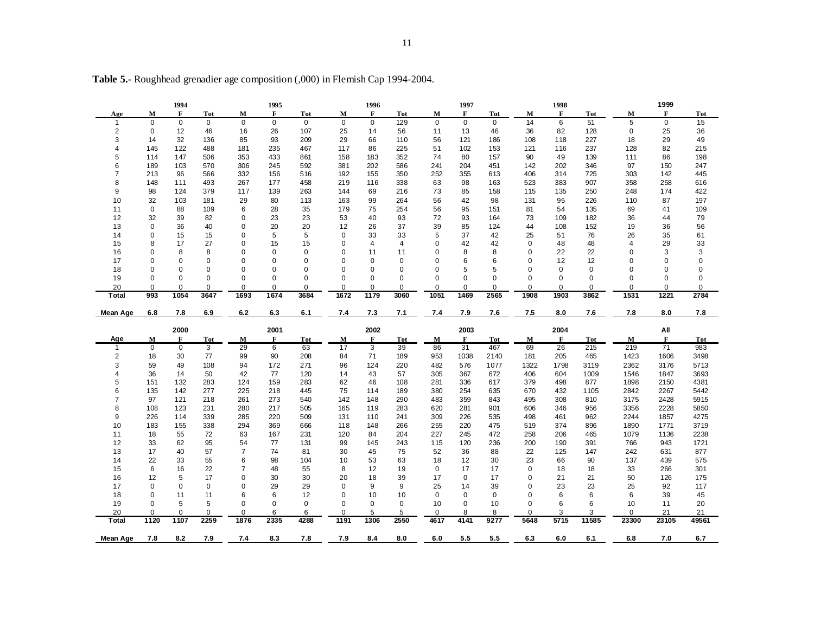|                 |             | 1994        |             |                | 1995        |             |             | 1996        |            |             | 1997        |             |              | 1998        |             |        | 1999        |            |
|-----------------|-------------|-------------|-------------|----------------|-------------|-------------|-------------|-------------|------------|-------------|-------------|-------------|--------------|-------------|-------------|--------|-------------|------------|
| Age             | м           | F           | Tot         | М              | F           | Tot         | М           | $\mathbf F$ | Tot        | м           | $\mathbf F$ | Tot         | М            | F           | <b>Tot</b>  | M      | $\mathbf F$ | <b>Tot</b> |
| -1              | $\mathbf 0$ | $\mathbf 0$ | $\mathbf 0$ | $\mathbf 0$    | $\mathbf 0$ | $\mathbf 0$ | $\mathbf 0$ | $\mathbf 0$ | 129        | $\mathbf 0$ | $\mathbf 0$ | $\mathbf 0$ | 14           | 6           | 51          | 5      | 0           | 15         |
| $\overline{c}$  | 0           | 12          | 46          | 16             | 26          | 107         | 25          | 14          | 56         | 11          | 13          | 46          | 36           | 82          | 128         | 0      | 25          | 36         |
| 3               | 14          | 32          | 136         | 85             | 93          | 209         | 29          | 66          | 110        | 56          | 121         | 186         | 108          | 118         | 227         | 18     | 29          | 49         |
| 4               | 145         | 122         | 488         | 181            | 235         | 467         | 117         | 86          | 225        | 51          | 102         | 153         | 121          | 116         | 237         | 128    | 82          | 215        |
| 5               | 114         | 147         | 506         | 353            | 433         | 861         | 158         | 183         | 352        | 74          | 80          | 157         | 90           | 49          | 139         | 111    | 86          | 198        |
| 6               | 189         | 103         | 570         | 306            | 245         | 592         | 381         | 202         | 586        | 241         | 204         | 451         | 142          | 202         | 346         | 97     | 150         | 247        |
| 7               | 213         | 96          | 566         | 332            | 156         | 516         | 192         | 155         | 350        | 252         | 355         | 613         | 406          | 314         | 725         | 303    | 142         | 445        |
| 8               | 148         | 111         | 493         | 267            | 177         | 458         | 219         | 116         | 338        | 63          | 98          | 163         | 523          | 383         | 907         | 358    | 258         | 616        |
| 9               | 98          | 124         | 379         | 117            | 139         | 263         | 144         | 69          | 216        | 73          | 85          | 158         | 115          | 135         | 250         | 248    | 174         | 422        |
| 10              | 32          | 103         | 181         | 29             | 80          | 113         | 163         | 99          | 264        | 56          | 42          | 98          | 131          | 95          | 226         | 110    | 87          | 197        |
| 11              | 0           | 88          | 109         | 6              | 28          | 35          | 179         | 75          | 254        | 56          | 95          | 151         | 81           | 54          | 135         | 69     | 41          | 109        |
| 12              | 32          | 39          | 82          | 0              | 23          | 23          | 53          | 40          | 93         | 72          | 93          | 164         | 73           | 109         | 182         | 36     | 44          | 79         |
| 13              | $\mathbf 0$ | 36          | 40          | 0              | 20          | 20          | 12          | 26          | 37         | 39          | 85          | 124         | 44           | 108         | 152         | 19     | 36          | 56         |
| 14              | $\mathbf 0$ | 15          | 15          | $\mathbf 0$    | 5           | 5           | $\mathbf 0$ | 33          | 33         | 5           | 37          | 42          | 25           | 51          | 76          | 26     | 35          | 61         |
| 15              | 8           | 17          | 27          | 0              | 15          | 15          | 0           | 4           | 4          | $\mathbf 0$ | 42          | 42          | 0            | 48          | 48          |        | 29          | 33         |
|                 | 0           |             | 8           | $\Omega$       | 0           | 0           | $\mathbf 0$ |             |            | $\Omega$    |             | 8           | $\mathbf 0$  | 22          |             | 4<br>0 |             |            |
| 16              |             | 8           |             |                |             |             |             | 11          | 11         |             | 8           |             |              |             | 22          |        | 3           | 3          |
| 17              | 0           | 0           | $\mathbf 0$ | 0              | 0           | 0           | $\mathbf 0$ | 0           | 0          | 0           | 6           | 6           | 0            | 12          | 12          | 0      | 0           | 0          |
| 18              | $\Omega$    | $\Omega$    | 0           | $\Omega$       | 0           | 0           | $\mathbf 0$ | 0           | 0          | $\Omega$    | 5           | 5           | $\Omega$     | $\mathbf 0$ | $\mathbf 0$ | 0      | 0           | 0          |
| 19              | $\Omega$    | $\Omega$    | $\Omega$    | $\Omega$       | $\Omega$    | $\Omega$    | $\Omega$    | $\Omega$    | $\Omega$   | $\Omega$    | $\Omega$    | $\Omega$    | $\Omega$     | $\Omega$    | $\mathbf 0$ | 0      | $\Omega$    | 0          |
| 20              | $\mathbf 0$ | 0           | $\mathbf 0$ | 0              | 0           | $\mathbf 0$ | 0           | 0           | 0          | 0           | 0           | 0           | $\mathbf 0$  | $\mathbf 0$ | $\mathbf 0$ | 0      | $\mathbf 0$ | 0          |
| Total           | 993         | 1054        | 3647        | 1693           | 1674        | 3684        | 1672        | 1179        | 3060       | 1051        | 1469        | 2565        | 1908         | 1903        | 3862        | 1531   | 1221        | 2784       |
| <b>Mean Age</b> | 6.8         | 7.8         | 6.9         | 6.2            | 6.3         | 6.1         | 7.4         | 7.3         | 7.1        | 7.4         | 7.9         | 7.6         | 7.5          | 8.0         | 7.6         | 7.8    | 8.0         | 7.8        |
|                 |             | 2000        |             |                | 2001        |             |             | 2002        |            |             | 2003        |             |              | 2004        |             |        | All         |            |
| Age             | М           | F           | <b>Tot</b>  | $\mathbf{M}$   | F           | <b>Tot</b>  | ${\bf M}$   | $\mathbf F$ | <b>Tot</b> | ${\bf M}$   | F           | <b>Tot</b>  | $\mathbf{M}$ | F           | <b>Tot</b>  | M      | F           | <b>Tot</b> |
| $\mathbf{1}$    | $\mathbf 0$ | $\mathbf 0$ | 3           | 29             | 6           | 63          | 17          | 3           | 39         | 86          | 31          | 467         | 69           | 26          | 215         | 219    | 71          | 983        |
| 2               | 18          | 30          | 77          | 99             | 90          | 208         | 84          | 71          | 189        | 953         | 1038        | 2140        | 181          | 205         | 465         | 1423   | 1606        | 3498       |
| 3               | 59          | 49          | 108         | 94             | 172         | 271         | 96          | 124         | 220        | 482         | 576         | 1077        | 1322         | 1798        | 3119        | 2362   | 3176        | 5713       |
| 4               | 36          | 14          | 50          | 42             | 77          | 120         | 14          | 43          | 57         | 305         | 367         | 672         | 406          | 604         | 1009        | 1546   | 1847        | 3693       |
| 5               | 151         | 132         | 283         | 124            | 159         | 283         | 62          | 46          | 108        | 281         | 336         | 617         | 379          | 498         | 877         | 1898   | 2150        | 4381       |
| 6               | 135         | 142         | 277         | 225            | 218         | 445         | 75          | 114         | 189        | 380         | 254         | 635         | 670          | 432         | 1105        | 2842   | 2267        | 5442       |
| 7               | 97          | 121         | 218         | 261            | 273         | 540         | 142         | 148         | 290        | 483         | 359         | 843         | 495          | 308         | 810         | 3175   | 2428        | 5915       |
| 8               | 108         | 123         | 231         | 280            | 217         | 505         | 165         | 119         | 283        | 620         | 281         | 901         | 606          | 346         | 956         | 3356   | 2228        | 5850       |
| 9               | 226         | 114         | 339         | 285            | 220         | 509         | 131         | 110         | 241        | 309         | 226         | 535         | 498          | 461         | 962         | 2244   | 1857        | 4275       |
| 10              | 183         | 155         | 338         | 294            | 369         | 666         | 118         | 148         | 266        | 255         | 220         | 475         | 519          | 374         | 896         | 1890   | 1771        | 3719       |
| 11              | 18          | 55          | 72          | 63             | 167         | 231         | 120         | 84          | 204        | 227         | 245         | 472         | 258          | 206         | 465         | 1079   | 1136        | 2238       |
| 12              | 33          | 62          | 95          | 54             | 77          | 131         | 99          | 145         | 243        | 115         | 120         | 236         | 200          | 190         | 391         | 766    | 943         | 1721       |
| 13              | 17          | 40          | 57          | $\overline{7}$ | 74          | 81          | 30          | 45          | 75         | 52          | 36          | 88          | 22           | 125         | 147         | 242    | 631         | 877        |
| 14              | 22          | 33          | 55          | 6              | 98          | 104         | 10          | 53          | 63         | 18          | 12          | 30          | 23           | 66          | 90          | 137    | 439         | 575        |
|                 |             |             |             | $\overline{7}$ |             |             | 8           |             | 19         |             | 17          | 17          | $\mathbf 0$  |             |             |        |             |            |
| 15              | 6           | 16          | 22          |                | 48          | 55          |             | 12          |            | $\mathbf 0$ |             |             |              | 18          | 18          | 33     | 266         | 301        |
| 16              | 12          | 5           | 17          | 0              | 30          | 30          | 20          | 18          | 39         | 17          | 0           | 17          | $\mathbf 0$  | 21          | 21          | 50     | 126         | 175        |
| 17              | $\mathbf 0$ | 0           | $\pmb{0}$   | $\Omega$       | 29          | 29          | $\mathbf 0$ | 9           | 9          | 25          | 14          | 39          | $\mathbf 0$  | 23          | 23          | 25     | 92          | 117        |
| 18              | 0           | 11          | 11          | 6              | 6           | 12          | $\mathbf 0$ | 10          | 10         | $\mathbf 0$ | $\mathbf 0$ | $\mathbf 0$ | 0            | 6           | 6           | 6      | 39          | 45         |
| 19              | $\mathbf 0$ | 5           | 5           | $\mathbf 0$    | 0           | $\mathbf 0$ | $\mathbf 0$ | 0           | 0          | 10          | $\mathbf 0$ | 10          | $\mathbf 0$  | 6           | 6           | 10     | 11          | 20         |
| 20              | $\mathbf 0$ | $\Omega$    | 0           | 0              | 6           | 6           | $\mathbf 0$ | 5           | 5          | $\mathbf 0$ | 8           | 8           | $\mathbf 0$  | 3           | 3           | 0      | 21          | 21         |
| Total           | 1120        | 1107        | 2259        | 1876           | 2335        | 4288        | 1191        | 1306        | 2550       | 4617        | 4141        | 9277        | 5648         | 5715        | 11585       | 23300  | 23105       | 49561      |
| Mean Age        | 7.8         | 8.2         | 7.9         | 7.4            | 8.3         | 7.8         | 7.9         | 8.4         | 8.0        | 6.0         | 5.5         | 5.5         | 6.3          | 6.0         | 6.1         | 6.8    | 7.0         | 6.7        |

**Table 5.-** Roughhead grenadier age composition (,000) in Flemish Cap 1994-2004.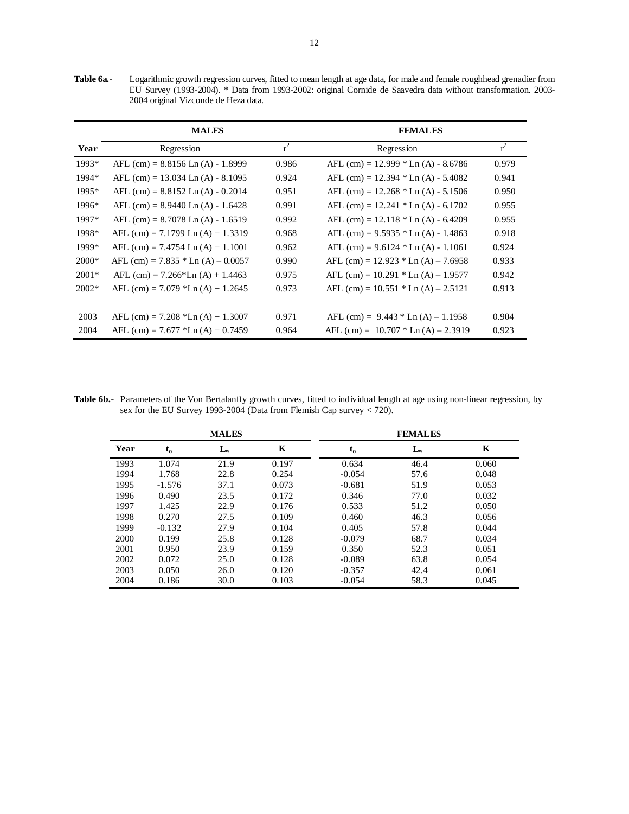**Table 6a.-** Logarithmic growth regression curves, fitted to mean length at age data, for male and female roughhead grenadier from EU Survey (1993-2004). \* Data from 1993-2002: original Cornide de Saavedra data without transformation. 2003- 2004 original Vizconde de Heza data.

|         | <b>MALES</b>                          |       | <b>FEMALES</b>                          |       |
|---------|---------------------------------------|-------|-----------------------------------------|-------|
| Year    | Regression                            | $r^2$ | Regression                              | $r^2$ |
| 1993*   | AFL $(cm) = 8.8156$ Ln $(A) - 1.8999$ | 0.986 | AFL (cm) = $12.999 * Ln (A) - 8.6786$   | 0.979 |
| 1994*   | AFL $(cm) = 13.034$ Ln $(A) - 8.1095$ | 0.924 | AFL (cm) = $12.394 * Ln (A) - 5.4082$   | 0.941 |
| 1995*   | AFL $(cm) = 8.8152$ Ln $(A) - 0.2014$ | 0.951 | AFL (cm) = $12.268 *$ Ln (A) - $5.1506$ | 0.950 |
| 1996*   | AFL $(cm) = 8.9440$ Ln $(A) - 1.6428$ | 0.991 | AFL (cm) = $12.241 * Ln(A) - 6.1702$    | 0.955 |
| 1997*   | $AFL$ (cm) = 8.7078 Ln (A) - 1.6519   | 0.992 | AFL $(cm) = 12.118 * Ln (A) - 6.4209$   | 0.955 |
| 1998*   | AFL $(cm) = 7.1799$ Ln $(A) + 1.3319$ | 0.968 | AFL $(cm) = 9.5935 * Ln (A) - 1.4863$   | 0.918 |
| 1999*   | AFL $(cm) = 7.4754$ Ln $(A) + 1.1001$ | 0.962 | AFL $(cm) = 9.6124 * Ln (A) - 1.1061$   | 0.924 |
| $2000*$ | AFL (cm) = $7.835 *$ Ln (A) – 0.0057  | 0.990 | AFL $(cm) = 12.923 * Ln (A) - 7.6958$   | 0.933 |
| $2001*$ | AFL (cm) = $7.266*$ Ln (A) + 1.4463   | 0.975 | AFL (cm) = $10.291 * Ln (A) - 1.9577$   | 0.942 |
| $2002*$ | AFL $(cm) = 7.079$ *Ln $(A) + 1.2645$ | 0.973 | AFL $(cm) = 10.551 * Ln (A) - 2.5121$   | 0.913 |
|         |                                       |       |                                         |       |
| 2003    | AFL $(cm) = 7.208$ *Ln $(A) + 1.3007$ | 0.971 | AFL $(cm) = 9.443 * Ln (A) - 1.1958$    | 0.904 |
| 2004    | AFL (cm) = $7.677$ *Ln (A) + 0.7459   | 0.964 | AFL (cm) = $10.707 * Ln (A) - 2.3919$   | 0.923 |

**Table 6b.-** Parameters of the Von Bertalanffy growth curves, fitted to individual length at age using non-linear regression, by sex for the EU Survey 1993-2004 (Data from Flemish Cap survey < 720).

|      |          | <b>MALES</b> |       |          | <b>FEMALES</b> |       |
|------|----------|--------------|-------|----------|----------------|-------|
| Year | $t_{o}$  | Lœ           | K     | $t_{o}$  | L®             | K     |
| 1993 | 1.074    | 21.9         | 0.197 | 0.634    | 46.4           | 0.060 |
| 1994 | 1.768    | 22.8         | 0.254 | $-0.054$ | 57.6           | 0.048 |
| 1995 | $-1.576$ | 37.1         | 0.073 | $-0.681$ | 51.9           | 0.053 |
| 1996 | 0.490    | 23.5         | 0.172 | 0.346    | 77.0           | 0.032 |
| 1997 | 1.425    | 22.9         | 0.176 | 0.533    | 51.2           | 0.050 |
| 1998 | 0.270    | 27.5         | 0.109 | 0.460    | 46.3           | 0.056 |
| 1999 | $-0.132$ | 27.9         | 0.104 | 0.405    | 57.8           | 0.044 |
| 2000 | 0.199    | 25.8         | 0.128 | $-0.079$ | 68.7           | 0.034 |
| 2001 | 0.950    | 23.9         | 0.159 | 0.350    | 52.3           | 0.051 |
| 2002 | 0.072    | 25.0         | 0.128 | $-0.089$ | 63.8           | 0.054 |
| 2003 | 0.050    | 26.0         | 0.120 | $-0.357$ | 42.4           | 0.061 |
| 2004 | 0.186    | 30.0         | 0.103 | $-0.054$ | 58.3           | 0.045 |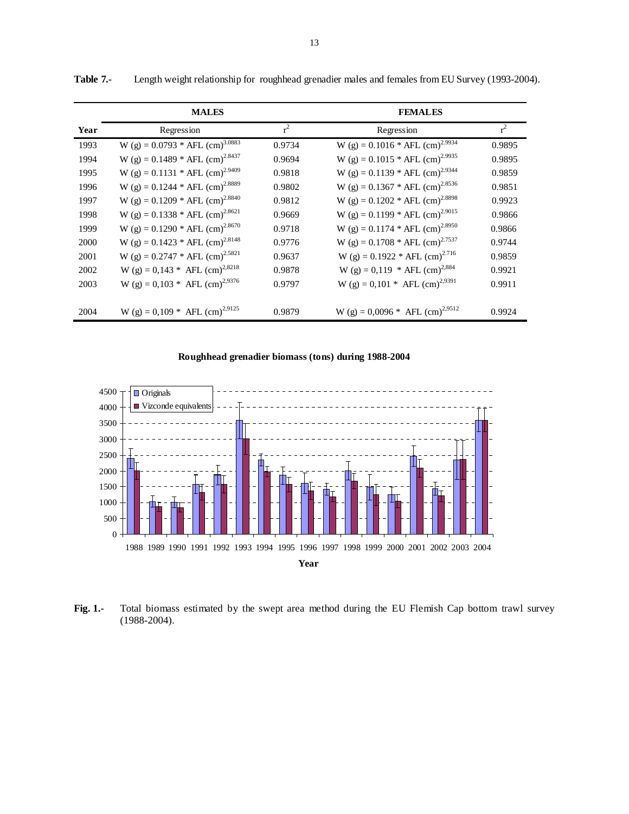|      | <b>MALES</b>                                  |        | <b>FEMALES</b>                                |        |
|------|-----------------------------------------------|--------|-----------------------------------------------|--------|
| Year | Regression                                    | $r^2$  | Regression                                    | $r^2$  |
| 1993 | W (g) = $0.0793 * AFL$ (cm) <sup>3.0883</sup> | 0.9734 | W (g) = $0.1016 * AFL$ (cm) <sup>2.9934</sup> | 0.9895 |
| 1994 | W (g) = 0.1489 * AFL (cm) <sup>2.8437</sup>   | 0.9694 | W (g) = $0.1015 * AFL$ (cm) <sup>2.9935</sup> | 0.9895 |
| 1995 | W (g) = $0.1131 * AFL$ (cm) <sup>2.9409</sup> | 0.9818 | W (g) = $0.1139$ * AFL (cm) <sup>2.9344</sup> | 0.9859 |
| 1996 | W (g) = $0.1244 * AFL$ (cm) <sup>2.8889</sup> | 0.9802 | W (g) = $0.1367 * AFL$ (cm) <sup>2.8536</sup> | 0.9851 |
| 1997 | W (g) = $0.1209 * AFL$ (cm) <sup>2.8840</sup> | 0.9812 | W (g) = $0.1202 * AFL$ (cm) <sup>2.8898</sup> | 0.9923 |
| 1998 | W (g) = $0.1338 * AFL$ (cm) <sup>2.8621</sup> | 0.9669 | W (g) = $0.1199 * AFL$ (cm) <sup>2.9015</sup> | 0.9866 |
| 1999 | W (g) = $0.1290 * AFL$ (cm) <sup>2.8670</sup> | 0.9718 | W (g) = $0.1174$ * AFL (cm) <sup>2.8950</sup> | 0.9866 |
| 2000 | W (g) = $0.1423$ * AFL (cm) <sup>2.8148</sup> | 0.9776 | W (g) = $0.1708 * AFL$ (cm) <sup>2.7537</sup> | 0.9744 |
| 2001 | W (g) = $0.2747 * AFL$ (cm) <sup>2.5821</sup> | 0.9637 | W (g) = $0.1922 * AFL$ (cm) <sup>2.716</sup>  | 0.9859 |
| 2002 | W (g) = 0,143 * AFL (cm) <sup>2,8218</sup>    | 0.9878 | W (g) = 0,119 * AFL (cm) <sup>2,884</sup>     | 0.9921 |
| 2003 | W (g) = $0,103$ * AFL (cm) <sup>2,9376</sup>  | 0.9797 | W (g) = 0,101 * AFL (cm) <sup>2,9391</sup>    | 0.9911 |
|      |                                               |        |                                               |        |
| 2004 | W (g) = 0,109 * AFL (cm) <sup>2,9125</sup>    | 0.9879 | W (g) = $0,0096 *$ AFL (cm) <sup>2,9512</sup> | 0.9924 |

**Table 7.-** Length weight relationship for roughhead grenadier males and females from EU Survey (1993-2004).

# **Roughhead grenadier biomass (tons) during 1988-2004**



**Fig. 1.-** Total biomass estimated by the swept area method during the EU Flemish Cap bottom trawl survey (1988-2004).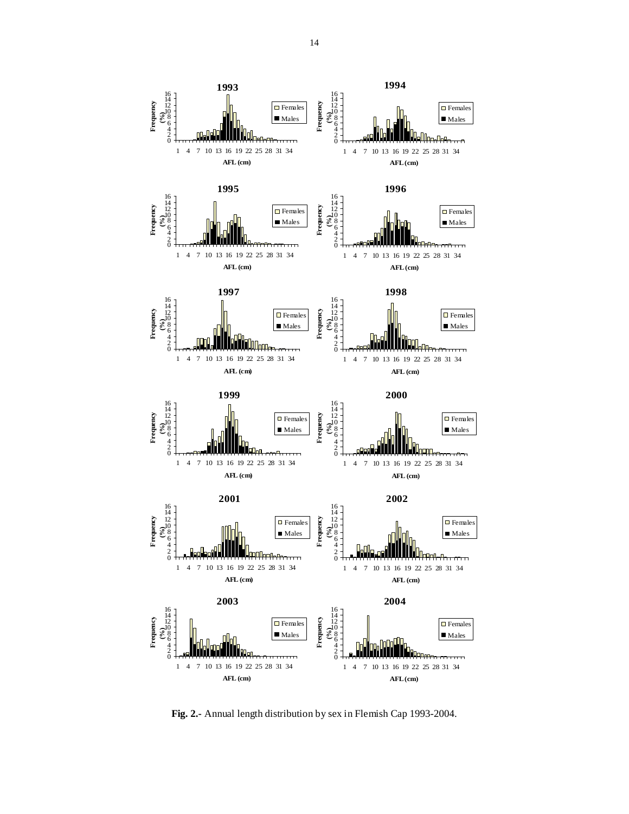

**Fig. 2.-** Annual length distribution by sex in Flemish Cap 1993-2004.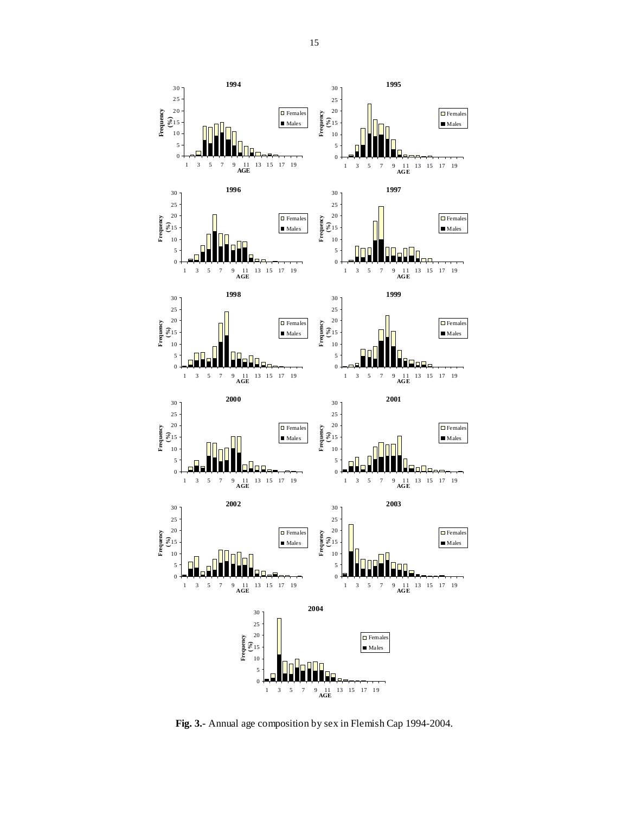**Fig. 3.-** Annual age composition by sex in Flemish Cap 1994-2004.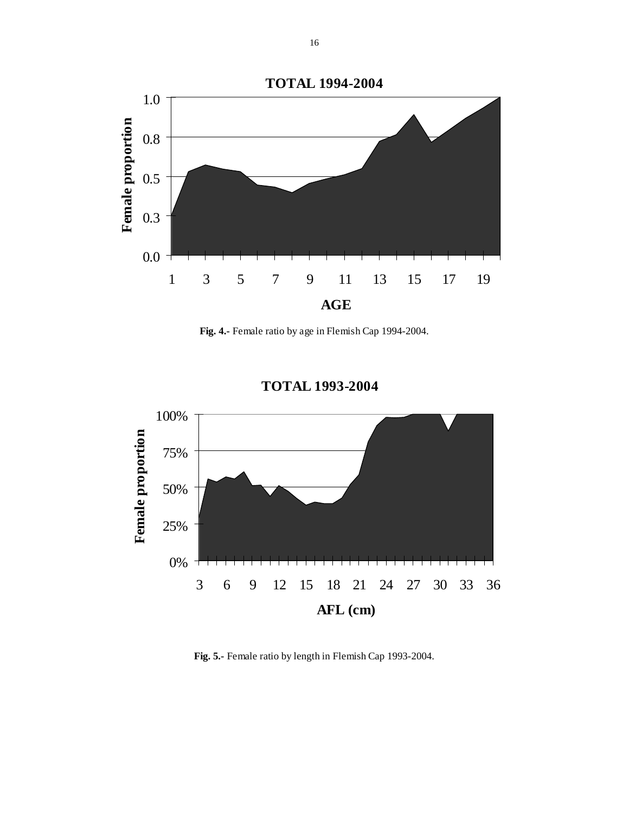

**Fig. 4.-** Female ratio by age in Flemish Cap 1994-2004.



# **TOTAL 1993-2004**

**Fig. 5.-** Female ratio by length in Flemish Cap 1993-2004.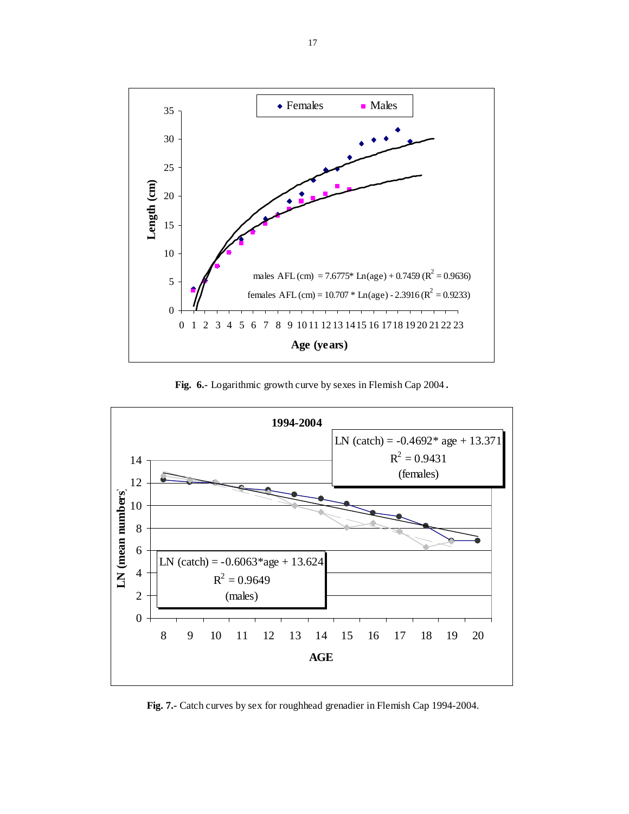

**Fig. 6.-** Logarithmic growth curve by sexes in Flemish Cap 2004.



**Fig. 7.-** Catch curves by sex for roughhead grenadier in Flemish Cap 1994-2004.